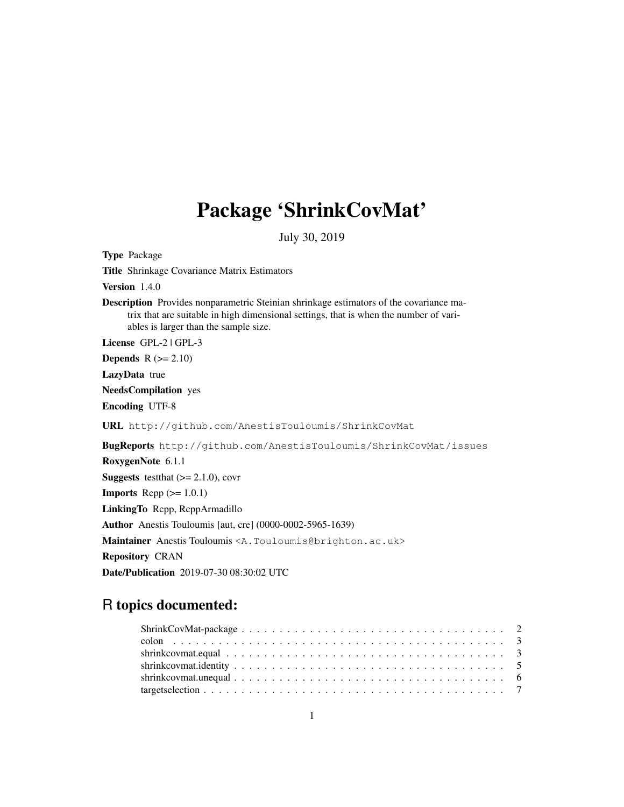# Package 'ShrinkCovMat'

July 30, 2019

Type Package Title Shrinkage Covariance Matrix Estimators Version 1.4.0 Description Provides nonparametric Steinian shrinkage estimators of the covariance matrix that are suitable in high dimensional settings, that is when the number of variables is larger than the sample size. License GPL-2 | GPL-3 **Depends**  $R$  ( $>= 2.10$ ) LazyData true NeedsCompilation yes Encoding UTF-8 URL http://github.com/AnestisTouloumis/ShrinkCovMat BugReports http://github.com/AnestisTouloumis/ShrinkCovMat/issues RoxygenNote 6.1.1 **Suggests** test that  $(>= 2.1.0)$ , covr **Imports** Rcpp  $(>= 1.0.1)$ LinkingTo Rcpp, RcppArmadillo Author Anestis Touloumis [aut, cre] (0000-0002-5965-1639) Maintainer Anestis Touloumis <A.Touloumis@brighton.ac.uk> Repository CRAN Date/Publication 2019-07-30 08:30:02 UTC

# R topics documented: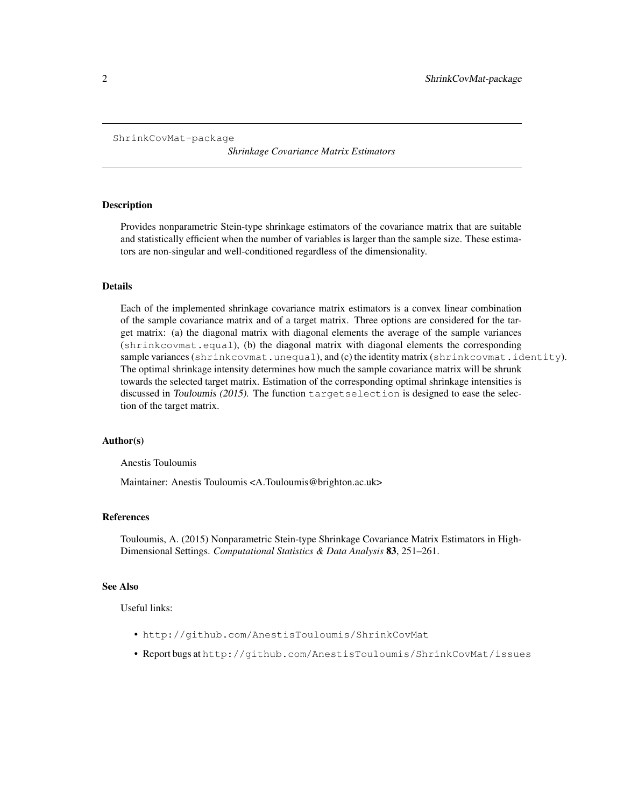```
ShrinkCovMat-package
```
*Shrinkage Covariance Matrix Estimators*

# Description

Provides nonparametric Stein-type shrinkage estimators of the covariance matrix that are suitable and statistically efficient when the number of variables is larger than the sample size. These estimators are non-singular and well-conditioned regardless of the dimensionality.

# Details

Each of the implemented shrinkage covariance matrix estimators is a convex linear combination of the sample covariance matrix and of a target matrix. Three options are considered for the target matrix: (a) the diagonal matrix with diagonal elements the average of the sample variances (shrinkcovmat.equal), (b) the diagonal matrix with diagonal elements the corresponding sample variances (shrinkcovmat.unequal), and (c) the identity matrix (shrinkcovmat.identity). The optimal shrinkage intensity determines how much the sample covariance matrix will be shrunk towards the selected target matrix. Estimation of the corresponding optimal shrinkage intensities is discussed in Touloumis (2015). The function targetselection is designed to ease the selection of the target matrix.

#### Author(s)

Anestis Touloumis

Maintainer: Anestis Touloumis <A.Touloumis@brighton.ac.uk>

# References

Touloumis, A. (2015) Nonparametric Stein-type Shrinkage Covariance Matrix Estimators in High-Dimensional Settings. *Computational Statistics & Data Analysis* 83, 251–261.

#### See Also

Useful links:

- http://github.com/AnestisTouloumis/ShrinkCovMat
- Report bugs at http://github.com/AnestisTouloumis/ShrinkCovMat/issues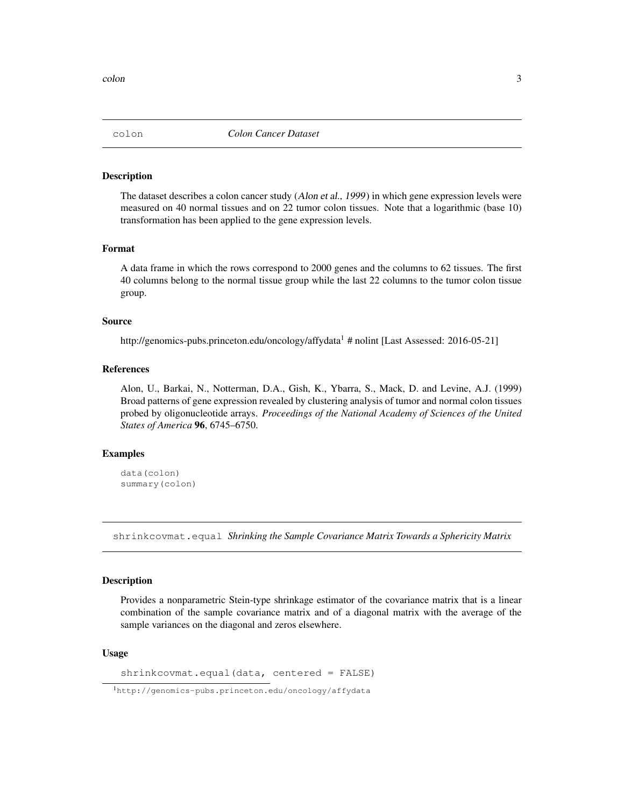#### Description

The dataset describes a colon cancer study (Alon et al., 1999) in which gene expression levels were measured on 40 normal tissues and on 22 tumor colon tissues. Note that a logarithmic (base 10) transformation has been applied to the gene expression levels.

#### Format

A data frame in which the rows correspond to 2000 genes and the columns to 62 tissues. The first 40 columns belong to the normal tissue group while the last 22 columns to the tumor colon tissue group.

#### Source

http://genomics-pubs.princeton.edu/oncology/affydata<sup>1</sup> # nolint [Last Assessed: 2016-05-21]

# References

Alon, U., Barkai, N., Notterman, D.A., Gish, K., Ybarra, S., Mack, D. and Levine, A.J. (1999) Broad patterns of gene expression revealed by clustering analysis of tumor and normal colon tissues probed by oligonucleotide arrays. *Proceedings of the National Academy of Sciences of the United States of America* 96, 6745–6750.

# Examples

```
data(colon)
summary(colon)
```
shrinkcovmat.equal *Shrinking the Sample Covariance Matrix Towards a Sphericity Matrix*

#### Description

Provides a nonparametric Stein-type shrinkage estimator of the covariance matrix that is a linear combination of the sample covariance matrix and of a diagonal matrix with the average of the sample variances on the diagonal and zeros elsewhere.

#### Usage

shrinkcovmat.equal(data, centered = FALSE)

<sup>1</sup>http://genomics-pubs.princeton.edu/oncology/affydata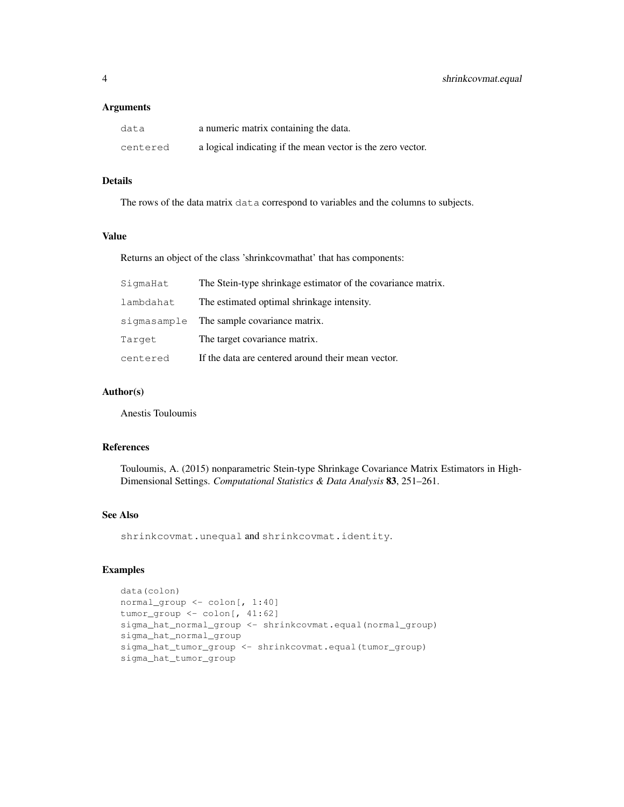#### Arguments

| data     | a numeric matrix containing the data.                       |
|----------|-------------------------------------------------------------|
| centered | a logical indicating if the mean vector is the zero vector. |

# Details

The rows of the data matrix data correspond to variables and the columns to subjects.

# Value

Returns an object of the class 'shrinkcovmathat' that has components:

| SigmaHat  | The Stein-type shrinkage estimator of the covariance matrix. |
|-----------|--------------------------------------------------------------|
| lambdahat | The estimated optimal shrinkage intensity.                   |
|           | sigmasample The sample covariance matrix.                    |
| Target    | The target covariance matrix.                                |
| centered  | If the data are centered around their mean vector.           |

# Author(s)

Anestis Touloumis

#### References

Touloumis, A. (2015) nonparametric Stein-type Shrinkage Covariance Matrix Estimators in High-Dimensional Settings. *Computational Statistics & Data Analysis* 83, 251–261.

# See Also

shrinkcovmat.unequal and shrinkcovmat.identity.

# Examples

```
data(colon)
normal_group <- colon[, 1:40]
tumor_group <- colon[, 41:62]
sigma_hat_normal_group <- shrinkcovmat.equal(normal_group)
sigma_hat_normal_group
sigma_hat_tumor_group <- shrinkcovmat.equal(tumor_group)
sigma_hat_tumor_group
```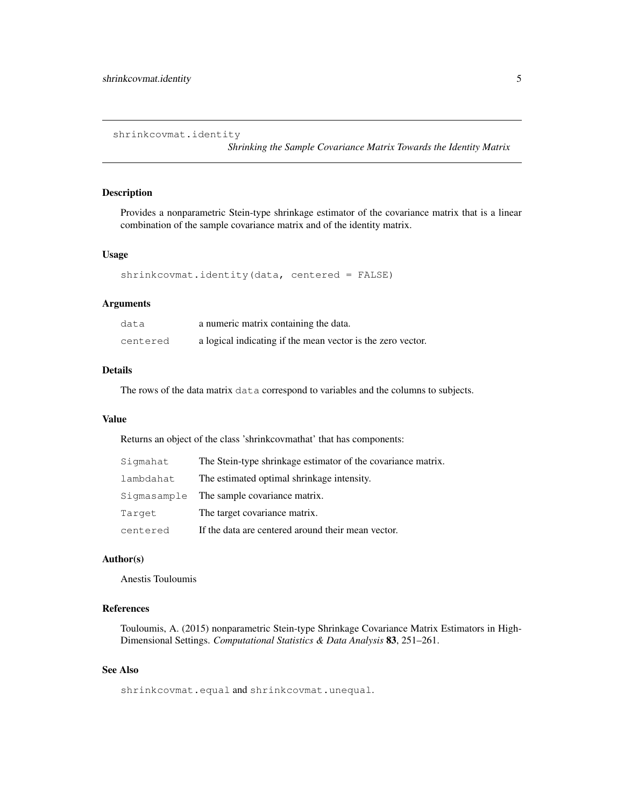shrinkcovmat.identity

*Shrinking the Sample Covariance Matrix Towards the Identity Matrix*

#### Description

Provides a nonparametric Stein-type shrinkage estimator of the covariance matrix that is a linear combination of the sample covariance matrix and of the identity matrix.

#### Usage

```
shrinkcovmat.identity(data, centered = FALSE)
```
#### Arguments

| data     | a numeric matrix containing the data.                       |
|----------|-------------------------------------------------------------|
| centered | a logical indicating if the mean vector is the zero vector. |

# Details

The rows of the data matrix data correspond to variables and the columns to subjects.

#### Value

Returns an object of the class 'shrinkcovmathat' that has components:

| Sigmahat  | The Stein-type shrinkage estimator of the covariance matrix. |
|-----------|--------------------------------------------------------------|
| lambdahat | The estimated optimal shrinkage intensity.                   |
|           | Sigmasample The sample covariance matrix.                    |
| Target    | The target covariance matrix.                                |
| centered  | If the data are centered around their mean vector.           |

#### Author(s)

Anestis Touloumis

# References

Touloumis, A. (2015) nonparametric Stein-type Shrinkage Covariance Matrix Estimators in High-Dimensional Settings. *Computational Statistics & Data Analysis* 83, 251–261.

# See Also

shrinkcovmat.equal and shrinkcovmat.unequal.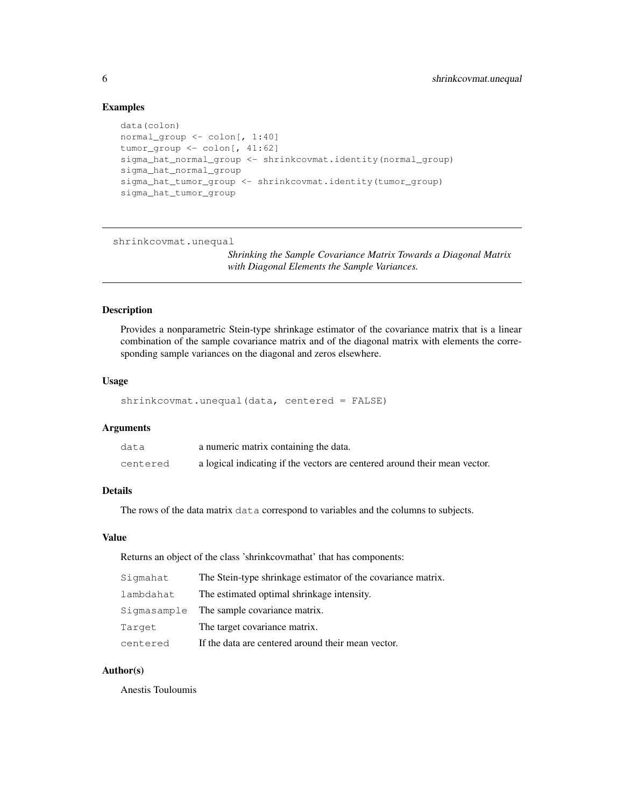# Examples

```
data(colon)
normal_group <- colon[, 1:40]
tumor_group <- colon[, 41:62]
sigma_hat_normal_group <- shrinkcovmat.identity(normal_group)
sigma_hat_normal_group
sigma_hat_tumor_group <- shrinkcovmat.identity(tumor_group)
sigma_hat_tumor_group
```
shrinkcovmat.unequal

*Shrinking the Sample Covariance Matrix Towards a Diagonal Matrix with Diagonal Elements the Sample Variances.*

# Description

Provides a nonparametric Stein-type shrinkage estimator of the covariance matrix that is a linear combination of the sample covariance matrix and of the diagonal matrix with elements the corresponding sample variances on the diagonal and zeros elsewhere.

#### Usage

```
shrinkcovmat.unequal(data, centered = FALSE)
```
#### Arguments

| data     | a numeric matrix containing the data.                                      |
|----------|----------------------------------------------------------------------------|
| centered | a logical indicating if the vectors are centered around their mean vector. |

#### Details

The rows of the data matrix data correspond to variables and the columns to subjects.

#### Value

Returns an object of the class 'shrinkcovmathat' that has components:

| Sigmahat  | The Stein-type shrinkage estimator of the covariance matrix. |
|-----------|--------------------------------------------------------------|
| lambdahat | The estimated optimal shrinkage intensity.                   |
|           | Sigmasample The sample covariance matrix.                    |
| Target    | The target covariance matrix.                                |
| centered  | If the data are centered around their mean vector.           |

# Author(s)

Anestis Touloumis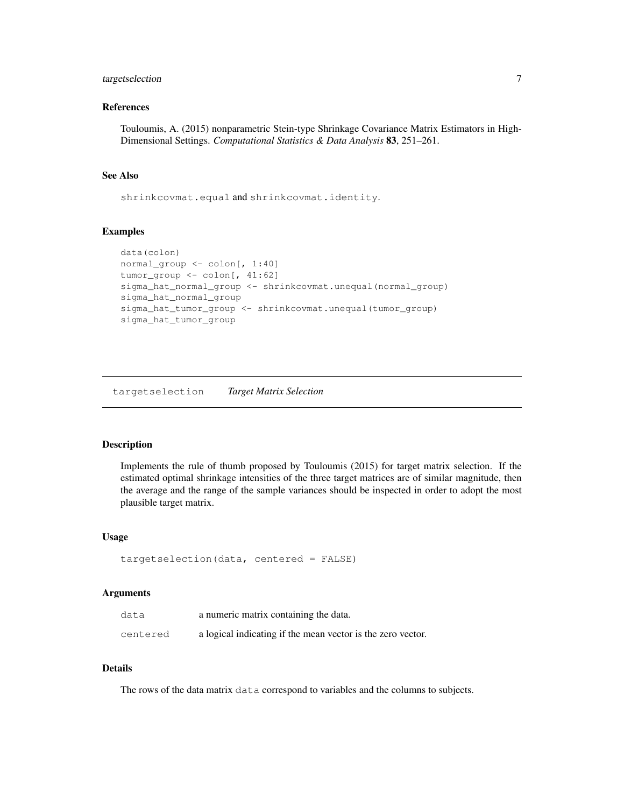# targetselection 7

# References

Touloumis, A. (2015) nonparametric Stein-type Shrinkage Covariance Matrix Estimators in High-Dimensional Settings. *Computational Statistics & Data Analysis* 83, 251–261.

# See Also

shrinkcovmat.equal and shrinkcovmat.identity.

#### Examples

```
data(colon)
normal_group <- colon[, 1:40]
tumor_group <- colon[, 41:62]
sigma_hat_normal_group <- shrinkcovmat.unequal(normal_group)
sigma_hat_normal_group
sigma_hat_tumor_group <- shrinkcovmat.unequal(tumor_group)
sigma_hat_tumor_group
```
targetselection *Target Matrix Selection*

# Description

Implements the rule of thumb proposed by Touloumis (2015) for target matrix selection. If the estimated optimal shrinkage intensities of the three target matrices are of similar magnitude, then the average and the range of the sample variances should be inspected in order to adopt the most plausible target matrix.

# Usage

```
targetselection(data, centered = FALSE)
```
#### Arguments

| data     | a numeric matrix containing the data.                       |
|----------|-------------------------------------------------------------|
| centered | a logical indicating if the mean vector is the zero vector. |

# Details

The rows of the data matrix data correspond to variables and the columns to subjects.